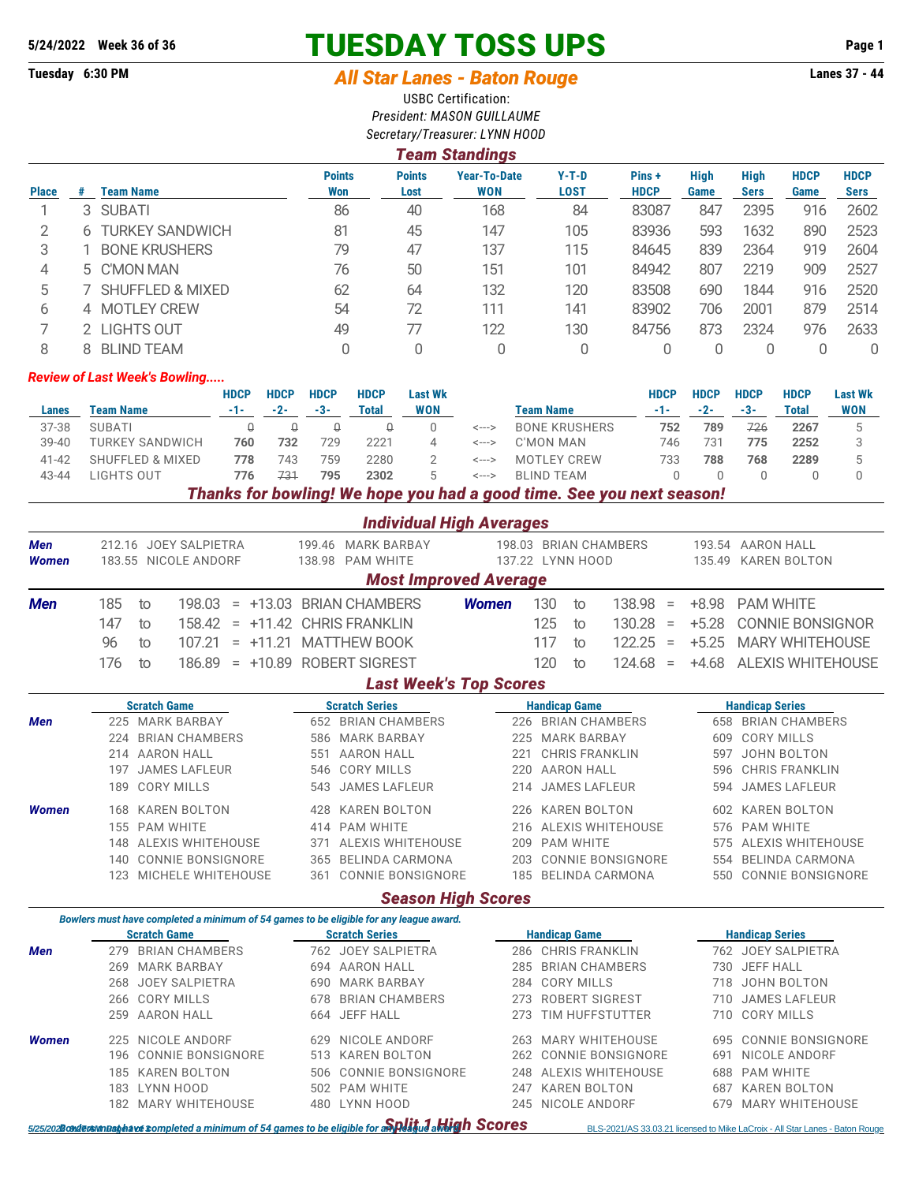# **5/24/2022 Week 36 of 36 TUESDAY TOSS UPS Page 1**

## **Tuesday 6:30 PM** *All Star Lanes - Baton Rouge* **Lanes 37 - 44**

USBC Certification: *President: MASON GUILLAUME Secretary/Treasurer: LYNN HOOD*

#### *Team Standings*

| <b>Place</b> | #  | Team Name                   | <b>Points</b><br>Won | <b>Points</b><br>Lost | <b>Year-To-Date</b><br><b>WON</b> | $Y-T-D$<br>LOST | Pins+<br><b>HDCP</b> | <b>High</b><br>Game | High<br><b>Sers</b> | <b>HDCP</b><br>Game | <b>HDCP</b><br><b>Sers</b> |
|--------------|----|-----------------------------|----------------------|-----------------------|-----------------------------------|-----------------|----------------------|---------------------|---------------------|---------------------|----------------------------|
|              |    | 3 SUBATI                    | 86                   | 40                    | 168                               | 84              | 83087                | 847                 | 2395                | 916                 | 2602                       |
|              | 6  | TURKEY SANDWICH             | 81                   | 45                    | 147                               | 105             | 83936                | 593                 | 1632                | 890                 | 2523                       |
| 3            |    | <b>BONE KRUSHERS</b>        | 79                   | 47                    | 137                               | 115             | 84645                | 839                 | 2364                | 919                 | 2604                       |
| 4            |    | 5 C'MON MAN                 | 76                   | 50                    | 151                               | 101             | 84942                | 807                 | 2219                | 909                 | 2527                       |
| 5            |    | <b>SHUFFLED &amp; MIXED</b> | 62                   | 64                    | 132                               | 120             | 83508                | 690                 | 1844                | 916                 | 2520                       |
| 6            |    | 4 MOTLEY CREW               | 54                   | 72                    | 111                               | 141             | 83902                | 706                 | 2001                | 879                 | 2514                       |
|              |    | 2 LIGHTS OUT                | 49                   | 77                    | 122                               | 130             | 84756                | 873                 | 2324                | 976                 | 2633                       |
| 8            | 8. | <b>BLIND TEAM</b>           |                      | 0                     |                                   |                 |                      |                     |                     |                     | 0                          |

#### *Review of Last Week's Bowling.....*

|           |                        | HDCP | <b>HDCP</b> | <b>HDCP</b> | <b>HDCP</b> | <b>Last Wk</b> |           |                                                                                                  | <b>HDCP</b> | <b>HDCP</b> | <b>HDCP</b> | <b>HDCP</b> | <b>Last Wk</b> |
|-----------|------------------------|------|-------------|-------------|-------------|----------------|-----------|--------------------------------------------------------------------------------------------------|-------------|-------------|-------------|-------------|----------------|
| Lanes     | Team Name              | -1-  | $-2-$       | -3-         | Total       | WON            | Team Name |                                                                                                  | -1-         | -2-         | -3-         | Total       | <b>WON</b>     |
| 37-38     | <b>SUBATI</b>          |      |             |             |             |                | <--->     | <b>BONE KRUSHERS</b>                                                                             | 752         | 789         | 726         | 2267        |                |
| $39 - 40$ | <b>TURKEY SANDWICH</b> | 760  | 732         | 729         | 2221        |                | <--->     | C'MON MAN                                                                                        | 746         | 731         | 775         | 2252        |                |
| $41 - 42$ | SHUFFLED & MIXED       | 778  | 743         | 759         | 2280        |                | <--->     | MOTLEY CREW                                                                                      | 733         | 788         | 768         | 2289        |                |
| 43-44     | LIGHTS OUT             | 776  | 731         | 795         | 2302        |                | <--->     | BI IND TFAM                                                                                      |             |             |             |             |                |
|           |                        |      |             |             |             |                |           | Therefor from beautifulned Werkenberg treaty begin a moral times. One concern would a concern to |             |             |             |             |                |

*Thanks for bowling! We hope you had a good time. See you next season!*

|                                                                                                                                 |     |                                                                                        |     | <b>Individual High Averages</b>        |              |     |                                           |                          |          |                          |                                                                              |  |
|---------------------------------------------------------------------------------------------------------------------------------|-----|----------------------------------------------------------------------------------------|-----|----------------------------------------|--------------|-----|-------------------------------------------|--------------------------|----------|--------------------------|------------------------------------------------------------------------------|--|
| Men<br><b>Women</b>                                                                                                             |     | 212.16 JOEY SALPIETRA<br>183.55 NICOLE ANDORF                                          |     | 199.46 MARK BARBAY<br>138.98 PAM WHITE |              |     | 198.03 BRIAN CHAMBERS<br>137.22 LYNN HOOD |                          |          |                          | 193.54 AARON HALL<br>135.49 KAREN BOLTON                                     |  |
|                                                                                                                                 |     |                                                                                        |     | <b>Most Improved Average</b>           |              |     |                                           |                          |          |                          |                                                                              |  |
| <b>Men</b>                                                                                                                      | 185 | 198.03<br>to                                                                           |     | $= +13.03$ BRIAN CHAMBERS              | <b>Women</b> | 130 | to                                        | 138.98                   | $\equiv$ | $+8.98$                  | <b>PAM WHITE</b>                                                             |  |
|                                                                                                                                 | 147 | 158.42<br>to                                                                           |     | $= +11.42$ CHRIS FRANKLIN              |              | 125 | to                                        | 130.28                   | $\equiv$ | $+5.28$                  | <b>CONNIE BONSIGNOR</b>                                                      |  |
|                                                                                                                                 | 96  | 107.21<br>to                                                                           |     | $= +11.21$ MATTHEW BOOK                |              | 117 | to                                        | 122.25                   | $\equiv$ | $+5.25$                  | <b>MARY WHITEHOUSE</b>                                                       |  |
|                                                                                                                                 | 176 | 186.89<br>to                                                                           |     | = +10.89 ROBERT SIGREST                |              | 120 | to                                        | 124.68                   | $\equiv$ | $+4.68$                  | <b>ALEXIS WHITEHOUSE</b>                                                     |  |
|                                                                                                                                 |     |                                                                                        |     |                                        |              |     |                                           |                          |          |                          |                                                                              |  |
| <b>Last Week's Top Scores</b><br><b>Scratch Game</b><br><b>Scratch Series</b><br><b>Handicap Game</b><br><b>Handicap Series</b> |     |                                                                                        |     |                                        |              |     |                                           |                          |          |                          |                                                                              |  |
| Men                                                                                                                             |     | 225 MARK BARBAY                                                                        |     | 652 BRIAN CHAMBERS                     |              |     | 226 BRIAN CHAMBERS                        |                          |          |                          | <b>658 BRIAN CHAMBERS</b>                                                    |  |
|                                                                                                                                 |     | 224 BRIAN CHAMBERS                                                                     |     | 586 MARK BARBAY                        |              |     | 225 MARK BARBAY                           |                          |          | <b>CORY MILLS</b><br>609 |                                                                              |  |
|                                                                                                                                 |     | 214 AARON HALL                                                                         |     | 551 AARON HALL                         | 221          |     |                                           | <b>CHRIS FRANKLIN</b>    |          | 597                      | JOHN BOLTON                                                                  |  |
|                                                                                                                                 | 197 | <b>JAMES LAFLEUR</b>                                                                   |     | 546 CORY MILLS                         | 220          |     | <b>AARON HALL</b>                         |                          |          | 596                      | <b>CHRIS FRANKLIN</b>                                                        |  |
|                                                                                                                                 | 189 | <b>CORY MILLS</b>                                                                      | 543 | <b>JAMES LAFLEUR</b>                   | 214          |     | <b>JAMES LAFLEUR</b>                      |                          |          | 594                      | <b>JAMES LAFLEUR</b>                                                         |  |
| <b>Women</b>                                                                                                                    |     | 168 KAREN BOLTON                                                                       | 428 | <b>KAREN BOLTON</b>                    | 226          |     | <b>KAREN BOLTON</b>                       |                          |          |                          | 602 KAREN BOLTON                                                             |  |
|                                                                                                                                 |     | 155 PAM WHITE                                                                          |     | 414 PAM WHITE                          |              |     |                                           | 216 ALEXIS WHITEHOUSE    |          |                          | 576 PAM WHITE                                                                |  |
|                                                                                                                                 |     | 148 ALEXIS WHITEHOUSE                                                                  | 371 | ALEXIS WHITEHOUSE                      |              |     | 209 PAM WHITE                             |                          |          | 575                      | ALEXIS WHITEHOUSE                                                            |  |
|                                                                                                                                 |     | 140 CONNIE BONSIGNORE                                                                  |     | 365 BELINDA CARMONA                    | 203          |     |                                           | <b>CONNIE BONSIGNORE</b> |          |                          | 554 BELINDA CARMONA                                                          |  |
|                                                                                                                                 |     | 123 MICHELE WHITEHOUSE                                                                 |     | 361 CONNIE BONSIGNORE                  |              |     |                                           | 185 BELINDA CARMONA      |          |                          | 550 CONNIE BONSIGNORE                                                        |  |
|                                                                                                                                 |     |                                                                                        |     | <b>Season High Scores</b>              |              |     |                                           |                          |          |                          |                                                                              |  |
|                                                                                                                                 |     | Bowlers must have completed a minimum of 54 games to be eligible for any league award. |     |                                        |              |     |                                           |                          |          |                          |                                                                              |  |
|                                                                                                                                 |     | <b>Scratch Game</b>                                                                    |     | <b>Scratch Series</b>                  |              |     | <b>Handicap Game</b>                      |                          |          |                          | <b>Handicap Series</b>                                                       |  |
| <b>Men</b>                                                                                                                      |     | 279 BRIAN CHAMBERS                                                                     |     | 762 JOEY SALPIETRA                     |              |     | 286 CHRIS FRANKLIN                        |                          |          |                          | 762 JOEY SALPIETRA                                                           |  |
|                                                                                                                                 |     | 269 MARK BARBAY                                                                        |     | 694 AARON HALL                         |              |     | 285 BRIAN CHAMBERS                        |                          |          |                          | 730 JEFF HALL                                                                |  |
|                                                                                                                                 | 268 | <b>JOEY SALPIETRA</b>                                                                  |     | 690 MARK BARBAY                        |              |     | 284 CORY MILLS                            |                          |          | 718                      | JOHN BOLTON                                                                  |  |
|                                                                                                                                 |     | 266 CORY MILLS                                                                         | 678 | <b>BRIAN CHAMBERS</b>                  | 273          |     | <b>ROBERT SIGREST</b>                     |                          |          | 710                      | <b>JAMES LAFLEUR</b>                                                         |  |
|                                                                                                                                 | 259 | <b>AARON HALL</b>                                                                      | 664 | <b>JEFF HALL</b>                       | 273          |     |                                           | TIM HUFFSTUTTER          |          | 710                      | <b>CORY MILLS</b>                                                            |  |
| <b>Women</b>                                                                                                                    | 225 | NICOLE ANDORF                                                                          | 629 | NICOLE ANDORF                          |              |     |                                           | 263 MARY WHITEHOUSE      |          | 695                      | <b>CONNIE BONSIGNORE</b>                                                     |  |
|                                                                                                                                 | 196 | CONNIE BONSIGNORE                                                                      |     | 513 KAREN BOLTON                       | 262          |     |                                           | <b>CONNIE BONSIGNORE</b> |          | 691                      | NICOLE ANDORF                                                                |  |
|                                                                                                                                 |     | 185 KAREN BOLTON                                                                       | 506 | <b>CONNIE BONSIGNORE</b>               | 248          |     |                                           | ALEXIS WHITEHOUSE        |          | 688                      | <b>PAM WHITE</b>                                                             |  |
|                                                                                                                                 | 183 | LYNN HOOD                                                                              |     | 502 PAM WHITE                          | 247          |     | <b>KAREN BOLTON</b>                       |                          |          | 687                      | <b>KAREN BOLTON</b>                                                          |  |
|                                                                                                                                 |     | 182 MARY WHITEHOUSE                                                                    |     | 480 LYNN HOOD                          |              |     | 245 NICOLE ANDORF                         |                          |          | 679                      | <b>MARY WHITEHOUSE</b>                                                       |  |
|                                                                                                                                 |     | 5/25/2028 GRUE ON Regislation of 54 games to be eligible for a Spelity a Mergin Scores |     |                                        |              |     |                                           |                          |          |                          | BLS-2021/AS 33.03.21 licensed to Mike LaCroix - All Star Lanes - Baton Rouge |  |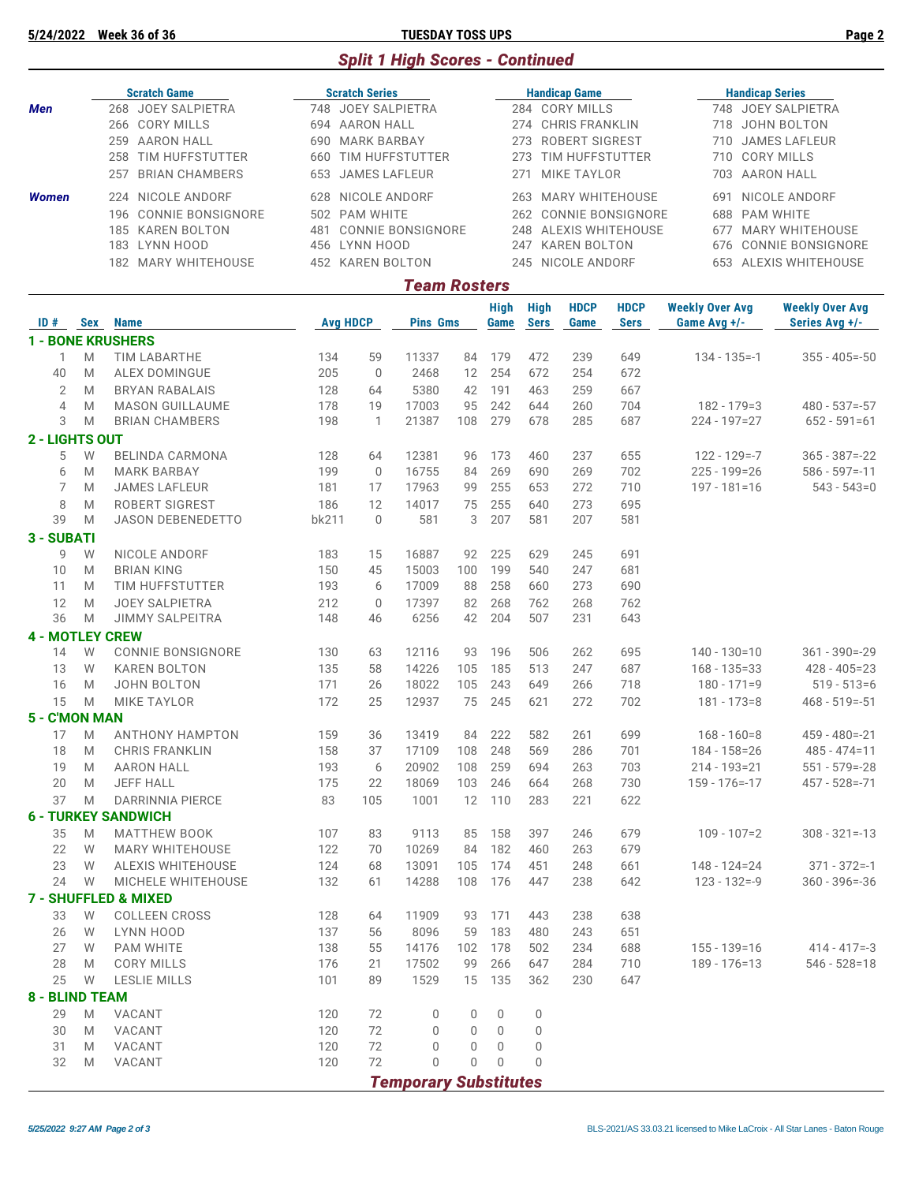**5/24/2022 Week 36 of 36 TUESDAY TOSS UPS Page 2**

### *Split 1 High Scores - Continued*

| <b>Scratch Game</b> |              |                       |     | <b>Scratch Series</b> |      | <b>Handicap Game</b>  |      | <b>Handicap Series</b> |  |  |  |  |  |
|---------------------|--------------|-----------------------|-----|-----------------------|------|-----------------------|------|------------------------|--|--|--|--|--|
| <b>Men</b>          |              | 268 JOEY SALPIETRA    |     | 748 JOEY SALPIETRA    |      | 284 CORY MILLS        | 748. | JOEY SALPIETRA         |  |  |  |  |  |
|                     |              | 266 CORY MILLS        | 694 | AARON HALL            |      | 274 CHRIS FRANKLIN    | 718  | JOHN BOLTON            |  |  |  |  |  |
|                     | 259          | AARON HALL            | 690 | <b>MARK BARBAY</b>    | 273  | <b>ROBERT SIGREST</b> | 710  | JAMES LAFLEUR          |  |  |  |  |  |
|                     | 258          | TIM HUFFSTUTTER       | 660 | TIM HUFFSTUTTER       | 273. | TIM HUFFSTUTTER       |      | 710 CORY MILLS         |  |  |  |  |  |
|                     | 257          | <b>BRIAN CHAMBERS</b> | 653 | JAMES LAFLEUR         | 271  | MIKE TAYLOR           | 703. | AARON HALL             |  |  |  |  |  |
| Women               |              | 224 NICOLE ANDORF     | 628 | NICOLE ANDORF         | 263. | MARY WHITEHOUSE       | 691  | NICOLE ANDORF          |  |  |  |  |  |
|                     |              | 196 CONNIE BONSIGNORE |     | 502 PAM WHITE         |      | 262 CONNIE BONSIGNORE |      | 688 PAM WHITE          |  |  |  |  |  |
|                     | 185          | <b>KAREN BOLTON</b>   | 481 | CONNIE BONSIGNORE     | 248  | ALEXIS WHITEHOUSE     | 677  | MARY WHITEHOUSE        |  |  |  |  |  |
|                     | 183          | LYNN HOOD             |     | 456 LYNN HOOD         | 247  | <b>KAREN BOLTON</b>   |      | 676 CONNIE BONSIGNORE  |  |  |  |  |  |
|                     | 182          | MARY WHITEHOUSE       |     | 452 KAREN BOLTON      |      | 245 NICOLE ANDORF     |      | 653 ALEXIS WHITEHOUSE  |  |  |  |  |  |
|                     | Team Rosters |                       |     |                       |      |                       |      |                        |  |  |  |  |  |

| $ID#$ Sex              |      | <b>Name</b>                     | <b>Avg HDCP</b> |              | <b>Pins Gms</b>              |             | <b>High</b><br>Game | <b>High</b><br><b>Sers</b> | <b>HDCP</b><br>Game | <b>HDCP</b><br><b>Sers</b> | <b>Weekly Over Avg</b><br>Game $Avg +/-$ | <b>Weekly Over Avg</b><br>Series Avg +/- |
|------------------------|------|---------------------------------|-----------------|--------------|------------------------------|-------------|---------------------|----------------------------|---------------------|----------------------------|------------------------------------------|------------------------------------------|
|                        |      | <b>1 - BONE KRUSHERS</b>        |                 |              |                              |             |                     |                            |                     |                            |                                          |                                          |
| 1                      | M    | <b>TIM LABARTHE</b>             | 134             | 59           | 11337                        | 84          | 179                 | 472                        | 239                 | 649                        | $134 - 135 = -1$                         | $355 - 405 = -50$                        |
| 40                     | M    | ALEX DOMINGUE                   | 205             | $\mathbf 0$  | 2468                         | 12          | 254                 | 672                        | 254                 | 672                        |                                          |                                          |
| $\mathbf{2}$           | M    | <b>BRYAN RABALAIS</b>           | 128             | 64           | 5380                         | 42          | 191                 | 463                        | 259                 | 667                        |                                          |                                          |
| $\overline{4}$         | M    | <b>MASON GUILLAUME</b>          | 178             | 19           | 17003                        | 95          | 242                 | 644                        | 260                 | 704                        | $182 - 179 = 3$                          | $480 - 537 = -57$                        |
| 3                      | M    | <b>BRIAN CHAMBERS</b>           | 198             | $\mathbf{1}$ | 21387                        | 108         | 279                 | 678                        | 285                 | 687                        | $224 - 197 = 27$                         | $652 - 591 = 61$                         |
| 2 - LIGHTS OUT         |      |                                 |                 |              |                              |             |                     |                            |                     |                            |                                          |                                          |
| 5                      | W    | BELINDA CARMONA                 | 128             | 64           | 12381                        | 96          | 173                 | 460                        | 237                 | 655                        | $122 - 129 = -7$                         | $365 - 387 = -22$                        |
| 6                      | M    | <b>MARK BARBAY</b>              | 199             | 0            | 16755                        | 84          | 269                 | 690                        | 269                 | 702                        | $225 - 199 = 26$                         | $586 - 597 = -11$                        |
| 7                      | M    | <b>JAMES LAFLEUR</b>            | 181             | 17           | 17963                        | 99          | 255                 | 653                        | 272                 | 710                        | $197 - 181 = 16$                         | $543 - 543=0$                            |
| 8                      | M    | <b>ROBERT SIGREST</b>           | 186             | 12           | 14017                        | 75          | 255                 | 640                        | 273                 | 695                        |                                          |                                          |
| 39                     | M    | JASON DEBENEDETTO               | bk211           | $\mathbf 0$  | 581                          | 3           | 207                 | 581                        | 207                 | 581                        |                                          |                                          |
| 3 - SUBATI             |      |                                 |                 |              |                              |             |                     |                            |                     |                            |                                          |                                          |
| 9                      | W    | NICOLE ANDORF                   | 183             | 15           | 16887                        | 92          | 225                 | 629                        | 245                 | 691                        |                                          |                                          |
| 10                     | M    | <b>BRIAN KING</b>               | 150             | 45           | 15003                        | 100         | 199                 | 540                        | 247                 | 681                        |                                          |                                          |
| 11                     | M    | TIM HUFFSTUTTER                 | 193             | 6            | 17009                        | 88          | 258                 | 660                        | 273                 | 690                        |                                          |                                          |
| 12                     | M    | <b>JOEY SALPIETRA</b>           | 212             | $\mathbf 0$  | 17397                        | 82          | 268                 | 762                        | 268                 | 762                        |                                          |                                          |
| 36                     | M    | <b>JIMMY SALPEITRA</b>          | 148             | 46           | 6256                         | 42          | 204                 | 507                        | 231                 | 643                        |                                          |                                          |
| <b>4 - MOTLEY CREW</b> |      |                                 |                 |              |                              |             |                     |                            |                     |                            |                                          |                                          |
|                        | W    | <b>CONNIE BONSIGNORE</b>        |                 |              | 12116                        |             | 196                 |                            |                     | 695                        | $140 - 130 = 10$                         | $361 - 390 = -29$                        |
| 14                     |      |                                 | 130             | 63           |                              | 93          |                     | 506                        | 262                 |                            |                                          |                                          |
| 13                     | W    | <b>KAREN BOLTON</b>             | 135             | 58           | 14226                        | 105         | 185                 | 513                        | 247                 | 687                        | $168 - 135 = 33$                         | $428 - 405 = 23$                         |
| 16                     | M    | <b>JOHN BOLTON</b>              | 171             | 26           | 18022                        | 105         | 243                 | 649                        | 266                 | 718                        | $180 - 171 = 9$                          | $519 - 513 = 6$                          |
| 15                     | M    | <b>MIKE TAYLOR</b>              | 172             | 25           | 12937                        | 75          | 245                 | 621                        | 272                 | 702                        | $181 - 173 = 8$                          | $468 - 519 = -51$                        |
| 5 - C'MON MAN          |      |                                 |                 |              |                              |             |                     |                            |                     |                            |                                          |                                          |
| 17                     | M    | <b>ANTHONY HAMPTON</b>          | 159             | 36           | 13419                        | 84          | 222                 | 582                        | 261                 | 699                        | $168 - 160 = 8$                          | $459 - 480 = -21$                        |
| 18                     | M    | <b>CHRIS FRANKLIN</b>           | 158             | 37           | 17109                        | 108         | 248                 | 569                        | 286                 | 701                        | 184 - 158 = 26                           | $485 - 474 = 11$                         |
| 19                     | M    | <b>AARON HALL</b>               | 193             | 6            | 20902                        | 108         | 259                 | 694                        | 263                 | 703                        | 214 - 193=21                             | $551 - 579 = -28$                        |
| 20                     | M    | <b>JEFF HALL</b>                | 175             | 22           | 18069                        | 103         | 246                 | 664                        | 268                 | 730                        | $159 - 176 = -17$                        | $457 - 528 = -71$                        |
| 37                     | M    | <b>DARRINNIA PIERCE</b>         | 83              | 105          | 1001                         | 12          | 110                 | 283                        | 221                 | 622                        |                                          |                                          |
|                        |      | <b>6 - TURKEY SANDWICH</b>      |                 |              |                              |             |                     |                            |                     |                            |                                          |                                          |
| 35                     | M    | <b>MATTHEW BOOK</b>             | 107             | 83           | 9113                         | 85          | 158                 | 397                        | 246                 | 679                        | $109 - 107 = 2$                          | $308 - 321 = -13$                        |
| 22                     | W    | <b>MARY WHITEHOUSE</b>          | 122             | 70           | 10269                        | 84          | 182                 | 460                        | 263                 | 679                        |                                          |                                          |
| 23                     | W    | ALEXIS WHITEHOUSE               | 124             | 68           | 13091                        | 105         | 174                 | 451                        | 248                 | 661                        | $148 - 124 = 24$                         | $371 - 372 = -1$                         |
| 24                     | W    | MICHELE WHITEHOUSE              | 132             | 61           | 14288                        | 108         | 176                 | 447                        | 238                 | 642                        | $123 - 132 = -9$                         | $360 - 396 = -36$                        |
|                        |      | <b>7 - SHUFFLED &amp; MIXED</b> |                 |              |                              |             |                     |                            |                     |                            |                                          |                                          |
| 33                     | W    | <b>COLLEEN CROSS</b>            | 128             | 64           | 11909                        | 93          | 171                 | 443                        | 238                 | 638                        |                                          |                                          |
| 26                     | W    | LYNN HOOD                       | 137             | 56           | 8096                         | 59          | 183                 | 480                        | 243                 | 651                        |                                          |                                          |
| 27                     | W    | <b>PAM WHITE</b>                | 138             | 55           | 14176                        | 102         | 178                 | 502                        | 234                 | 688                        | $155 - 139 = 16$                         | $414 - 417 = -3$                         |
| 28                     | M    | <b>CORY MILLS</b>               | 176             | 21           | 17502                        |             | 99 266              | 647                        | 284                 | 710                        | 189 - 176=13                             | $546 - 528 = 18$                         |
|                        | 25 W | <b>LESLIE MILLS</b>             | 101             | 89           | 1529                         |             | 15 135              | 362                        | 230                 | 647                        |                                          |                                          |
| 8 - BLIND TEAM         |      |                                 |                 |              |                              |             |                     |                            |                     |                            |                                          |                                          |
| 29                     | M    | VACANT                          | 120             | 72           | 0                            | 0           | 0                   | 0                          |                     |                            |                                          |                                          |
| 30                     | M    | VACANT                          | 120             | 72           | $\Omega$                     | $\mathbf 0$ | 0                   | 0                          |                     |                            |                                          |                                          |
| 31                     | M    | VACANT                          | 120             | 72           | $\mathbf{0}$                 | $\mathbf 0$ | $\Omega$            | $\overline{0}$             |                     |                            |                                          |                                          |
| 32                     | M    | VACANT                          | 120             | 72           | $\mathbf{0}$                 | 0           | $\Omega$            | $\mathbf{0}$               |                     |                            |                                          |                                          |
|                        |      |                                 |                 |              | <b>Temporary Substitutes</b> |             |                     |                            |                     |                            |                                          |                                          |
|                        |      |                                 |                 |              |                              |             |                     |                            |                     |                            |                                          |                                          |